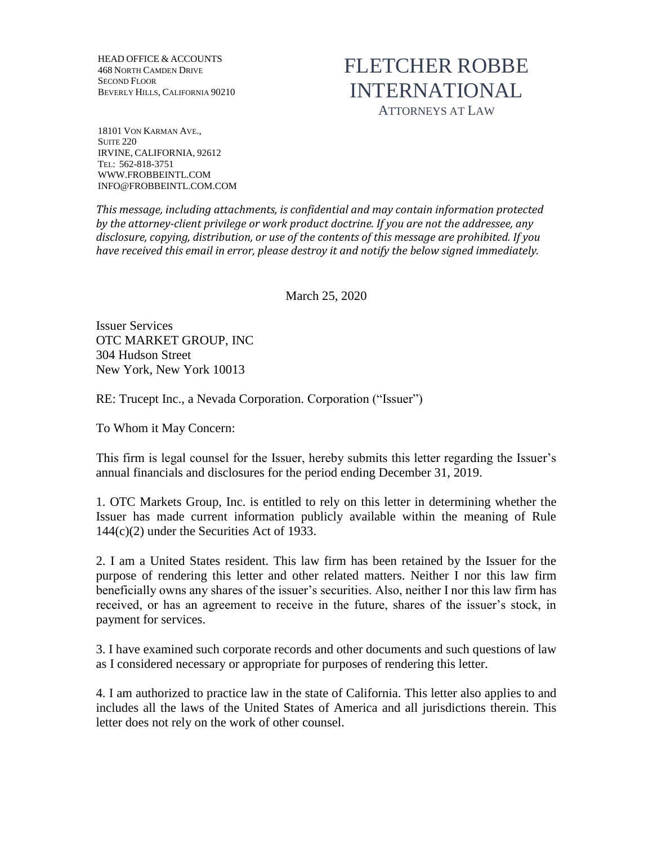HEAD OFFICE & ACCOUNTS 468 NORTH CAMDEN DRIVE SECOND FLOOR BEVERLY HILLS, CALIFORNIA 90210

## FLETCHER ROBBE INTERNATIONAL ATTORNEYS AT LAW

18101 VON KARMAN AVE., **SUITE 220** IRVINE, CALIFORNIA, 92612 TEL: 562-818-3751 WWW.FROBBEINTL.COM INFO@FROBBEINTL.COM.COM

*This message, including attachments, is confidential and may contain information protected by the attorney-client privilege or work product doctrine. If you are not the addressee, any disclosure, copying, distribution, or use of the contents of this message are prohibited. If you have received this email in error, please destroy it and notify the below signed immediately.* 

March 25, 2020

Issuer Services OTC MARKET GROUP, INC 304 Hudson Street New York, New York 10013

RE: Trucept Inc., a Nevada Corporation. Corporation ("Issuer")

To Whom it May Concern:

This firm is legal counsel for the Issuer, hereby submits this letter regarding the Issuer's annual financials and disclosures for the period ending December 31, 2019.

1. OTC Markets Group, Inc. is entitled to rely on this letter in determining whether the Issuer has made current information publicly available within the meaning of Rule 144(c)(2) under the Securities Act of 1933.

2. I am a United States resident. This law firm has been retained by the Issuer for the purpose of rendering this letter and other related matters. Neither I nor this law firm beneficially owns any shares of the issuer's securities. Also, neither I nor this law firm has received, or has an agreement to receive in the future, shares of the issuer's stock, in payment for services.

3. I have examined such corporate records and other documents and such questions of law as I considered necessary or appropriate for purposes of rendering this letter.

4. I am authorized to practice law in the state of California. This letter also applies to and includes all the laws of the United States of America and all jurisdictions therein. This letter does not rely on the work of other counsel.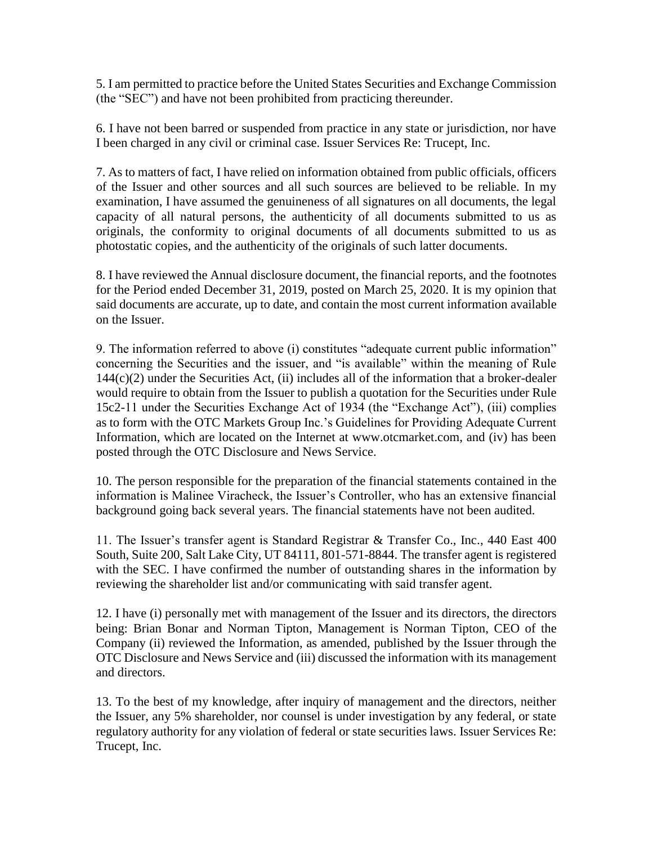5. I am permitted to practice before the United States Securities and Exchange Commission (the "SEC") and have not been prohibited from practicing thereunder.

6. I have not been barred or suspended from practice in any state or jurisdiction, nor have I been charged in any civil or criminal case. Issuer Services Re: Trucept, Inc.

7. As to matters of fact, I have relied on information obtained from public officials, officers of the Issuer and other sources and all such sources are believed to be reliable. In my examination, I have assumed the genuineness of all signatures on all documents, the legal capacity of all natural persons, the authenticity of all documents submitted to us as originals, the conformity to original documents of all documents submitted to us as photostatic copies, and the authenticity of the originals of such latter documents.

8. I have reviewed the Annual disclosure document, the financial reports, and the footnotes for the Period ended December 31, 2019, posted on March 25, 2020. It is my opinion that said documents are accurate, up to date, and contain the most current information available on the Issuer.

9. The information referred to above (i) constitutes "adequate current public information" concerning the Securities and the issuer, and "is available" within the meaning of Rule  $144(c)(2)$  under the Securities Act, (ii) includes all of the information that a broker-dealer would require to obtain from the Issuer to publish a quotation for the Securities under Rule 15c2-11 under the Securities Exchange Act of 1934 (the "Exchange Act"), (iii) complies as to form with the OTC Markets Group Inc.'s Guidelines for Providing Adequate Current Information, which are located on the Internet at www.otcmarket.com, and (iv) has been posted through the OTC Disclosure and News Service.

10. The person responsible for the preparation of the financial statements contained in the information is Malinee Viracheck, the Issuer's Controller, who has an extensive financial background going back several years. The financial statements have not been audited.

11. The Issuer's transfer agent is Standard Registrar & Transfer Co., Inc., 440 East 400 South, Suite 200, Salt Lake City, UT 84111, 801-571-8844. The transfer agent is registered with the SEC. I have confirmed the number of outstanding shares in the information by reviewing the shareholder list and/or communicating with said transfer agent.

12. I have (i) personally met with management of the Issuer and its directors, the directors being: Brian Bonar and Norman Tipton, Management is Norman Tipton, CEO of the Company (ii) reviewed the Information, as amended, published by the Issuer through the OTC Disclosure and News Service and (iii) discussed the information with its management and directors.

13. To the best of my knowledge, after inquiry of management and the directors, neither the Issuer, any 5% shareholder, nor counsel is under investigation by any federal, or state regulatory authority for any violation of federal or state securities laws. Issuer Services Re: Trucept, Inc.